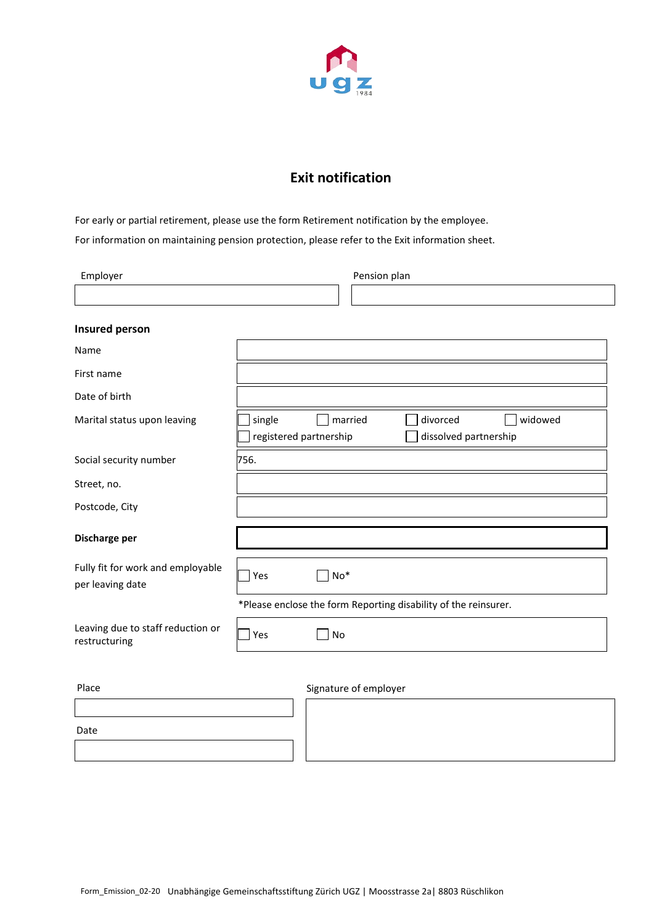

## **Exit notification**

For early or partial retirement, please use the form Retirement notification by the employee. For information on maintaining pension protection, please refer to the Exit information sheet.

| Employer                                              | Pension plan                                                    |                                            |  |  |
|-------------------------------------------------------|-----------------------------------------------------------------|--------------------------------------------|--|--|
|                                                       |                                                                 |                                            |  |  |
| <b>Insured person</b>                                 |                                                                 |                                            |  |  |
| Name                                                  |                                                                 |                                            |  |  |
| First name                                            |                                                                 |                                            |  |  |
| Date of birth                                         |                                                                 |                                            |  |  |
| Marital status upon leaving                           | $\Box$ married<br>divorced<br>single<br>registered partnership  | widowed<br>$\sim$<br>dissolved partnership |  |  |
| Social security number                                | 756.                                                            |                                            |  |  |
| Street, no.                                           |                                                                 |                                            |  |  |
| Postcode, City                                        |                                                                 |                                            |  |  |
| Discharge per                                         |                                                                 |                                            |  |  |
| Fully fit for work and employable<br>per leaving date | $No*$<br>Yes                                                    |                                            |  |  |
|                                                       | *Please enclose the form Reporting disability of the reinsurer. |                                            |  |  |
| Leaving due to staff reduction or<br>restructuring    | No<br>Yes                                                       |                                            |  |  |
| Place                                                 | Signature of employer                                           |                                            |  |  |
|                                                       |                                                                 |                                            |  |  |
| Date                                                  |                                                                 |                                            |  |  |
|                                                       |                                                                 |                                            |  |  |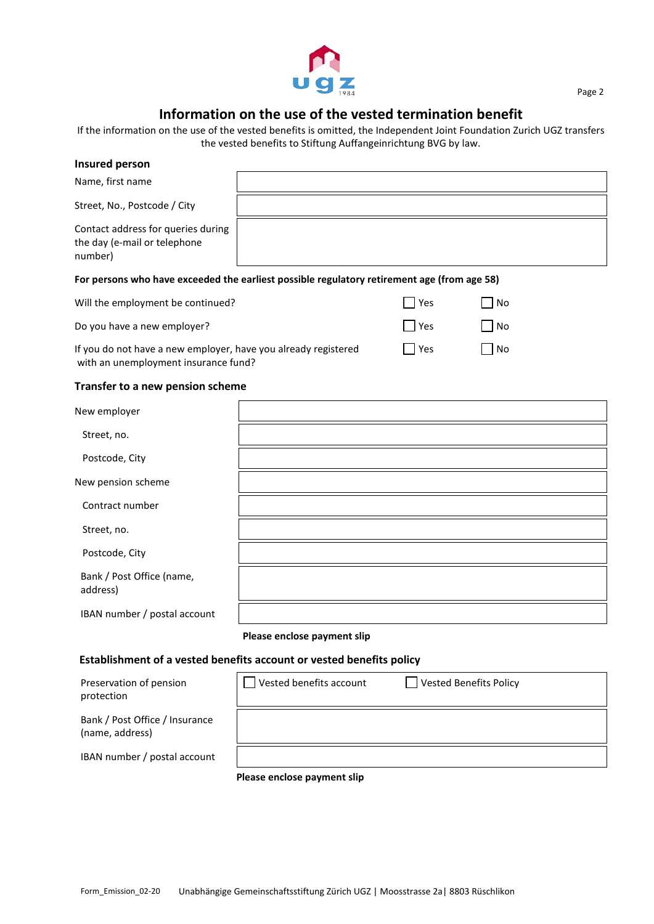

## Page 2

## **Information on the use of the vested termination benefit**

If the information on the use of the vested benefits is omitted, the Independent Joint Foundation Zurich UGZ transfers the vested benefits to Stiftung Auffangeinrichtung BVG by law.

| <b>Insured person</b>                                                                                  |                             |               |                               |
|--------------------------------------------------------------------------------------------------------|-----------------------------|---------------|-------------------------------|
| Name, first name                                                                                       |                             |               |                               |
| Street, No., Postcode / City                                                                           |                             |               |                               |
| Contact address for queries during<br>the day (e-mail or telephone<br>number)                          |                             |               |                               |
| For persons who have exceeded the earliest possible regulatory retirement age (from age 58)            |                             |               |                               |
| Will the employment be continued?                                                                      |                             | Yes           | No                            |
| Do you have a new employer?                                                                            |                             | $\exists$ Yes | No                            |
| If you do not have a new employer, have you already registered<br>with an unemployment insurance fund? |                             | $\bigcap$ Yes | l No                          |
| Transfer to a new pension scheme                                                                       |                             |               |                               |
| New employer                                                                                           |                             |               |                               |
| Street, no.                                                                                            |                             |               |                               |
| Postcode, City                                                                                         |                             |               |                               |
| New pension scheme                                                                                     |                             |               |                               |
| Contract number                                                                                        |                             |               |                               |
| Street, no.                                                                                            |                             |               |                               |
| Postcode, City                                                                                         |                             |               |                               |
| Bank / Post Office (name,<br>address)                                                                  |                             |               |                               |
| IBAN number / postal account                                                                           |                             |               |                               |
|                                                                                                        | Please enclose payment slip |               |                               |
| Establishment of a vested benefits account or vested benefits policy                                   |                             |               |                               |
| Preservation of pension                                                                                | Vested benefits account     |               | <b>Vested Benefits Policy</b> |

protection Bank / Post Office / Insurance (name, address) IBAN number / postal account **Please enclose payment slip**